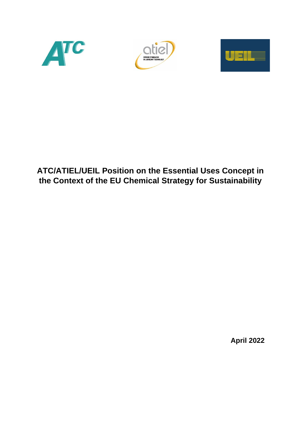





# **ATC/ATIEL/UEIL Position on the Essential Uses Concept in the Context of the EU Chemical Strategy for Sustainability**

**April 2022**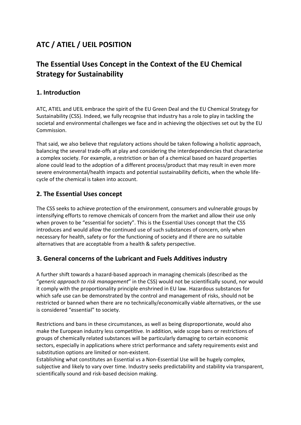## **ATC / ATIEL / UEIL POSITION**

## **The Essential Uses Concept in the Context of the EU Chemical Strategy for Sustainability**

### **1. Introduction**

ATC, ATIEL and UEIL embrace the spirit of the EU Green Deal and the EU Chemical Strategy for Sustainability (CSS). Indeed, we fully recognise that industry has a role to play in tackling the societal and environmental challenges we face and in achieving the objectives set out by the EU Commission.

That said, we also believe that regulatory actions should be taken following a holistic approach, balancing the several trade-offs at play and considering the interdependencies that characterise a complex society. For example, a restriction or ban of a chemical based on hazard properties alone could lead to the adoption of a different process/product that may result in even more severe environmental/health impacts and potential sustainability deficits, when the whole lifecycle of the chemical is taken into account.

### **2. The Essential Uses concept**

The CSS seeks to achieve protection of the environment, consumers and vulnerable groups by intensifying efforts to remove chemicals of concern from the market and allow their use only when proven to be "essential for society". This is the Essential Uses concept that the CSS introduces and would allow the continued use of such substances of concern, only when necessary for health, safety or for the functioning of society and if there are no suitable alternatives that are acceptable from a health & safety perspective.

#### **3. General concerns of the Lubricant and Fuels Additives industry**

A further shift towards a hazard-based approach in managing chemicals (described as the "*generic approach to risk management*" in the CSS) would not be scientifically sound, nor would it comply with the proportionality principle enshrined in EU law. Hazardous substances for which safe use can be demonstrated by the control and management of risks, should not be restricted or banned when there are no technically/economically viable alternatives, or the use is considered "essential" to society.

Restrictions and bans in these circumstances, as well as being disproportionate, would also make the European industry less competitive. In addition, wide scope bans or restrictions of groups of chemically related substances will be particularly damaging to certain economic sectors, especially in applications where strict performance and safety requirements exist and substitution options are limited or non-existent.

Establishing what constitutes an Essential vs a Non-Essential Use will be hugely complex, subjective and likely to vary over time. Industry seeks predictability and stability via transparent, scientifically sound and risk-based decision making.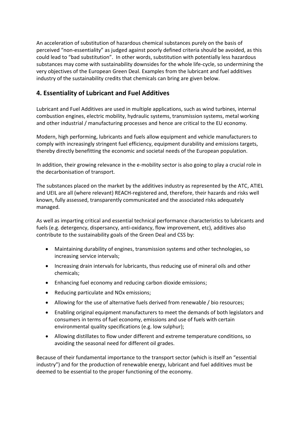An acceleration of substitution of hazardous chemical substances purely on the basis of perceived "non-essentiality" as judged against poorly defined criteria should be avoided, as this could lead to "bad substitution". In other words, substitution with potentially less hazardous substances may come with sustainability downsides for the whole life-cycle, so undermining the very objectives of the European Green Deal. Examples from the lubricant and fuel additives industry of the sustainability credits that chemicals can bring are given below.

#### **4. Essentiality of Lubricant and Fuel Additives**

Lubricant and Fuel Additives are used in multiple applications, such as wind turbines, internal combustion engines, electric mobility, hydraulic systems, transmission systems, metal working and other industrial / manufacturing processes and hence are critical to the EU economy.

Modern, high performing, lubricants and fuels allow equipment and vehicle manufacturers to comply with increasingly stringent fuel efficiency, equipment durability and emissions targets, thereby directly benefitting the economic and societal needs of the European population.

In addition, their growing relevance in the e-mobility sector is also going to play a crucial role in the decarbonisation of transport.

The substances placed on the market by the additives industry as represented by the ATC, ATIEL and UEIL are all (where relevant) REACH-registered and, therefore, their hazards and risks well known, fully assessed, transparently communicated and the associated risks adequately managed.

As well as imparting critical and essential technical performance characteristics to lubricants and fuels (e.g. detergency, dispersancy, anti-oxidancy, flow improvement, etc), additives also contribute to the sustainability goals of the Green Deal and CSS by:

- Maintaining durability of engines, transmission systems and other technologies, so increasing service intervals;
- Increasing drain intervals for lubricants, thus reducing use of mineral oils and other chemicals;
- Enhancing fuel economy and reducing carbon dioxide emissions;
- Reducing particulate and NOx emissions;
- Allowing for the use of alternative fuels derived from renewable / bio resources;
- Enabling original equipment manufacturers to meet the demands of both legislators and consumers in terms of fuel economy, emissions and use of fuels with certain environmental quality specifications (e.g. low sulphur);
- Allowing distillates to flow under different and extreme temperature conditions, so avoiding the seasonal need for different oil grades.

Because of their fundamental importance to the transport sector (which is itself an "essential industry") and for the production of renewable energy, lubricant and fuel additives must be deemed to be essential to the proper functioning of the economy.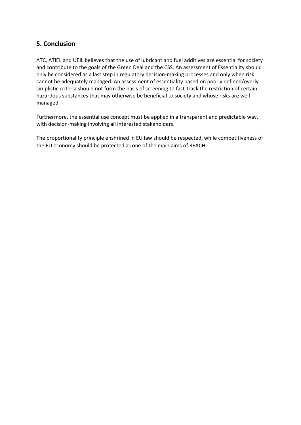## **5. Conclusion**

ATC, ATIEL and UEIL believes that the use of lubricant and fuel additives are essential for society and contribute to the goals of the Green Deal and the CSS. An assessment of Essentiality should only be considered as a last step in regulatory decision-making processes and only when risk cannot be adequately managed. An assessment of essentiality based on poorly defined/overly simplistic criteria should not form the basis of screening to fast-track the restriction of certain hazardous substances that may otherwise be beneficial to society and whose risks are well managed.

Furthermore, the essential use concept must be applied in a transparent and predictable way, with decision-making involving all interested stakeholders.

The proportionality principle enshrined in EU law should be respected, while competitiveness of the EU economy should be protected as one of the main aims of REACH.